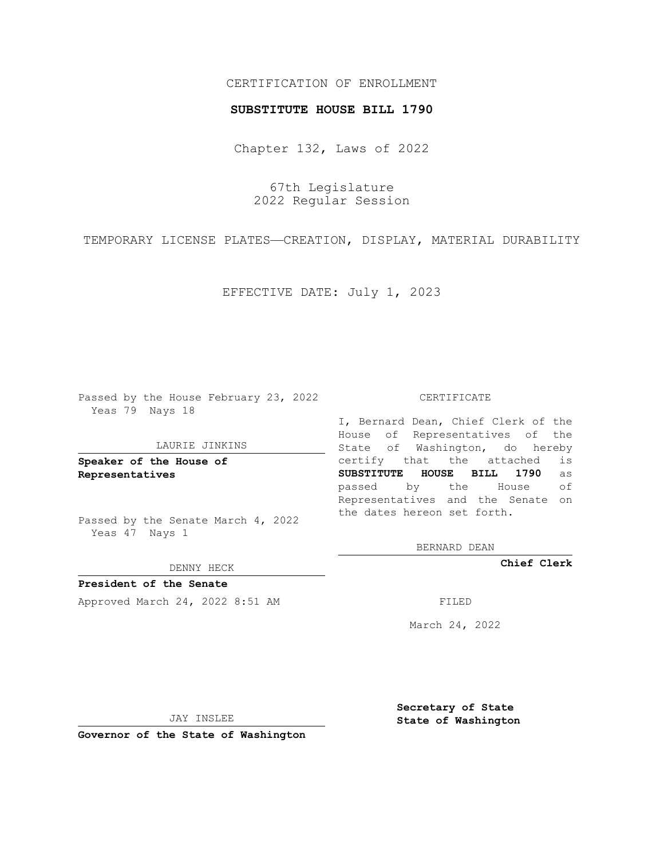# CERTIFICATION OF ENROLLMENT

### **SUBSTITUTE HOUSE BILL 1790**

Chapter 132, Laws of 2022

67th Legislature 2022 Regular Session

TEMPORARY LICENSE PLATES—CREATION, DISPLAY, MATERIAL DURABILITY

EFFECTIVE DATE: July 1, 2023

Passed by the House February 23, 2022 Yeas 79 Nays 18

### LAURIE JINKINS

**Speaker of the House of Representatives**

Passed by the Senate March 4, 2022 Yeas 47 Nays 1

#### DENNY HECK

**President of the Senate** Approved March 24, 2022 8:51 AM FILED

#### CERTIFICATE

I, Bernard Dean, Chief Clerk of the House of Representatives of the State of Washington, do hereby certify that the attached is **SUBSTITUTE HOUSE BILL 1790** as passed by the House of Representatives and the Senate on the dates hereon set forth.

BERNARD DEAN

**Chief Clerk**

March 24, 2022

JAY INSLEE

**Governor of the State of Washington**

**Secretary of State State of Washington**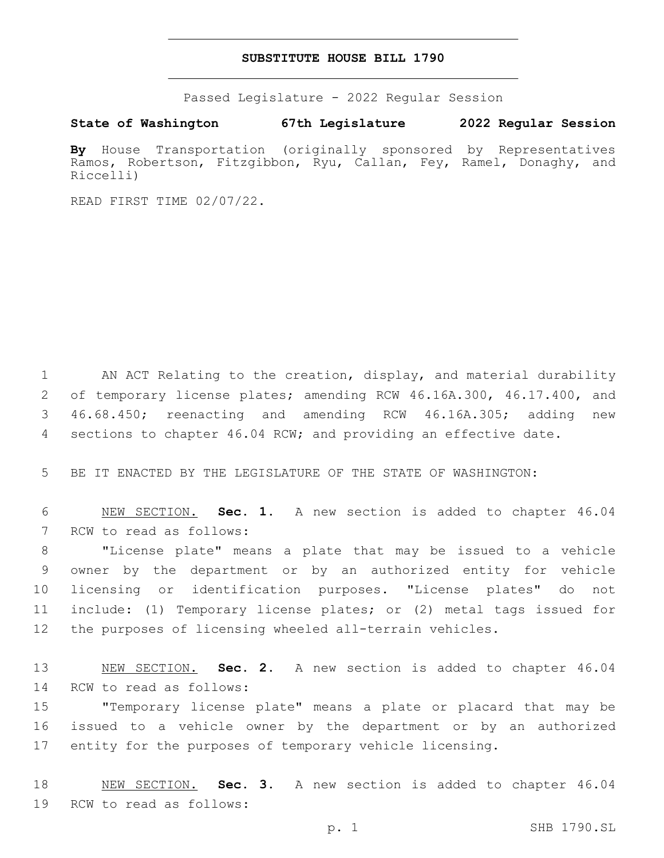## **SUBSTITUTE HOUSE BILL 1790**

Passed Legislature - 2022 Regular Session

**State of Washington 67th Legislature 2022 Regular Session**

**By** House Transportation (originally sponsored by Representatives Ramos, Robertson, Fitzgibbon, Ryu, Callan, Fey, Ramel, Donaghy, and Riccelli)

READ FIRST TIME 02/07/22.

 AN ACT Relating to the creation, display, and material durability of temporary license plates; amending RCW 46.16A.300, 46.17.400, and 46.68.450; reenacting and amending RCW 46.16A.305; adding new sections to chapter 46.04 RCW; and providing an effective date.

5 BE IT ENACTED BY THE LEGISLATURE OF THE STATE OF WASHINGTON:

6 NEW SECTION. **Sec. 1.** A new section is added to chapter 46.04 7 RCW to read as follows:

 "License plate" means a plate that may be issued to a vehicle owner by the department or by an authorized entity for vehicle licensing or identification purposes. "License plates" do not include: (1) Temporary license plates; or (2) metal tags issued for the purposes of licensing wheeled all-terrain vehicles.

13 NEW SECTION. **Sec. 2.** A new section is added to chapter 46.04 14 RCW to read as follows:

15 "Temporary license plate" means a plate or placard that may be 16 issued to a vehicle owner by the department or by an authorized 17 entity for the purposes of temporary vehicle licensing.

18 NEW SECTION. **Sec. 3.** A new section is added to chapter 46.04 19 RCW to read as follows: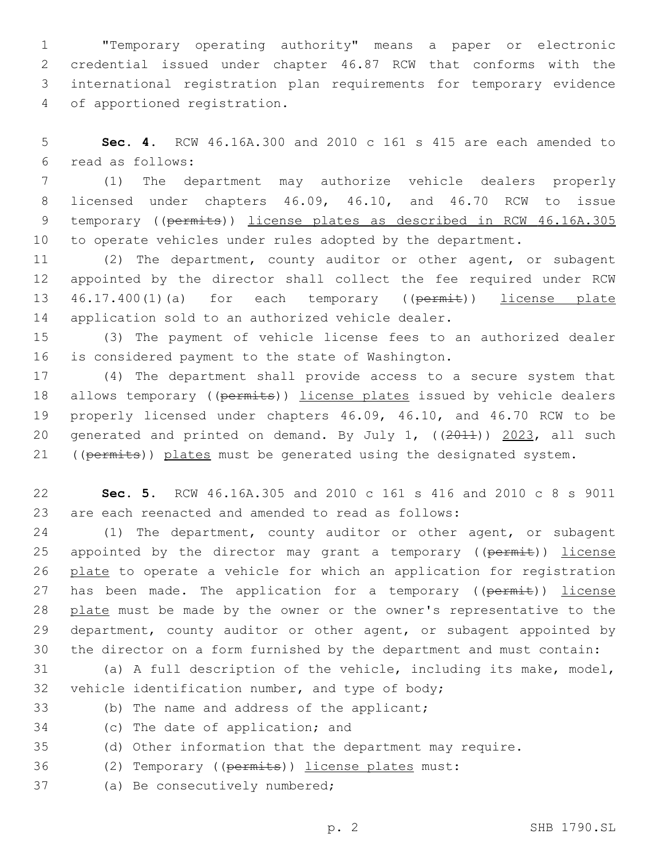"Temporary operating authority" means a paper or electronic credential issued under chapter 46.87 RCW that conforms with the international registration plan requirements for temporary evidence 4 of apportioned registration.

5 **Sec. 4.** RCW 46.16A.300 and 2010 c 161 s 415 are each amended to read as follows:6

 (1) The department may authorize vehicle dealers properly licensed under chapters 46.09, 46.10, and 46.70 RCW to issue temporary ((permits)) license plates as described in RCW 46.16A.305 10 to operate vehicles under rules adopted by the department.

11 (2) The department, county auditor or other agent, or subagent 12 appointed by the director shall collect the fee required under RCW 13 46.17.400(1)(a) for each temporary ((permit)) license plate 14 application sold to an authorized vehicle dealer.

15 (3) The payment of vehicle license fees to an authorized dealer 16 is considered payment to the state of Washington.

17 (4) The department shall provide access to a secure system that 18 allows temporary ((permits)) license plates issued by vehicle dealers 19 properly licensed under chapters 46.09, 46.10, and 46.70 RCW to be 20 generated and printed on demand. By July 1, ((2011)) 2023, all such 21 ((permits)) plates must be generated using the designated system.

22 **Sec. 5.** RCW 46.16A.305 and 2010 c 161 s 416 and 2010 c 8 s 9011 23 are each reenacted and amended to read as follows:

24 (1) The department, county auditor or other agent, or subagent 25 appointed by the director may grant a temporary ( $(\overline{permit})$ ) license 26 plate to operate a vehicle for which an application for registration 27 has been made. The application for a temporary ((permit)) license 28 plate must be made by the owner or the owner's representative to the 29 department, county auditor or other agent, or subagent appointed by 30 the director on a form furnished by the department and must contain:

31 (a) A full description of the vehicle, including its make, model, 32 vehicle identification number, and type of body;

- 33 (b) The name and address of the applicant;
- 34 (c) The date of application; and
- 35 (d) Other information that the department may require.
- 36 (2) Temporary ((permits)) license plates must:
- 37 (a) Be consecutively numbered;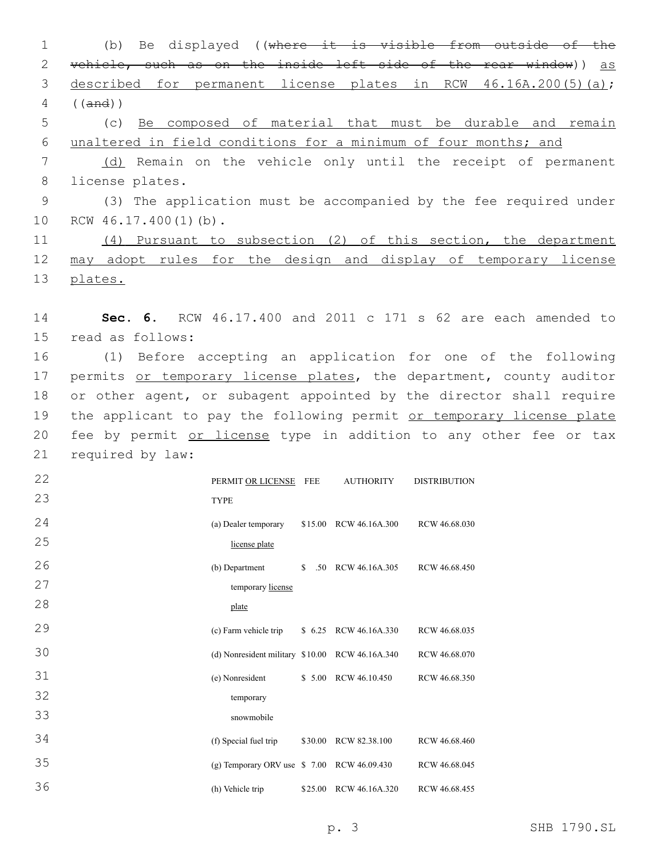1 (b) Be displayed ((where it is visible from outside of the 2 vehicle, such as on the inside left side of the rear window)) as 3 described for permanent license plates in RCW 46.16A.200(5)(a); 4 ((and)) 5 (c) Be composed of material that must be durable and remain 6 unaltered in field conditions for a minimum of four months; and 7 (d) Remain on the vehicle only until the receipt of permanent 8 license plates. 9 (3) The application must be accompanied by the fee required under 10 RCW 46.17.400(1)(b). 11 (4) Pursuant to subsection (2) of this section, the department 12 may adopt rules for the design and display of temporary license 13 plates. 14 **Sec. 6.** RCW 46.17.400 and 2011 c 171 s 62 are each amended to 15 read as follows: 16 (1) Before accepting an application for one of the following 17 permits or temporary license plates, the department, county auditor 18 or other agent, or subagent appointed by the director shall require 19 the applicant to pay the following permit or temporary license plate 20 fee by permit or license type in addition to any other fee or tax 21 required by law: 22 23 PERMIT OR LICENSE TYPE AUTHORITY DISTRIBUTION 24 25 (a) Dealer temporary license plate \$15.00 RCW 46.16A.300 RCW 46.68.030 26 27 28 (b) Department temporary license plate \$ .50 RCW 46.16A.305 RCW 46.68.450 29 (c) Farm vehicle trip \$ 6.25 RCW 46.16A.330 RCW 46.68.035 30 (d) Nonresident military \$10.00 RCW 46.16A.340 RCW 46.68.070 31 32 33 (e) Nonresident temporary snowmobile \$ 5.00 RCW 46.10.450 RCW 46.68.350 34 (f) Special fuel trip \$30.00 RCW 82.38.100 RCW 46.68.460 35 (g) Temporary ORV use \$ 7.00 RCW 46.09.430 RCW 46.68.045 36 (h) Vehicle trip \$25.00 RCW 46.16A.320 RCW 46.68.455 p. 3 SHB 1790.SL